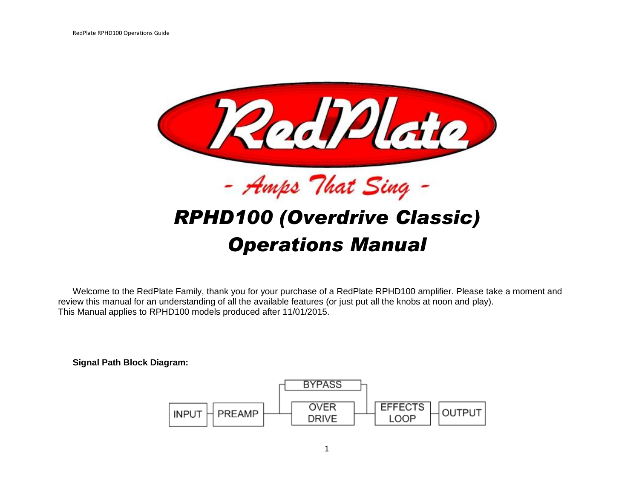

Welcome to the RedPlate Family, thank you for your purchase of a RedPlate RPHD100 amplifier. Please take a moment and review this manual for an understanding of all the available features (or just put all the knobs at noon and play). This Manual applies to RPHD100 models produced after 11/01/2015.

**Signal Path Block Diagram:**

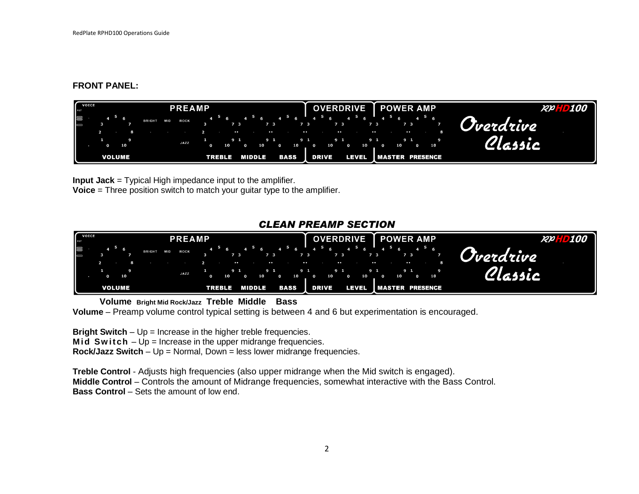#### **FRONT PANEL:**

| VOICE | <b>PREAMP</b>             |  |          |  |  |               |            |                     |  |  |                           |                                  |        | OVERDRIVE   POWER AMP |                  |  |            |                 |                                                                                                                                                 |             |                |          |                               |               |                                                | <b>RPHD100</b> |                               |  |  |    |                            |
|-------|---------------------------|--|----------|--|--|---------------|------------|---------------------|--|--|---------------------------|----------------------------------|--------|-----------------------|------------------|--|------------|-----------------|-------------------------------------------------------------------------------------------------------------------------------------------------|-------------|----------------|----------|-------------------------------|---------------|------------------------------------------------|----------------|-------------------------------|--|--|----|----------------------------|
|       | $\Omega$<br><b>VOLUME</b> |  | -6<br>10 |  |  | <b>BRIGHT</b> | <b>MID</b> | <b>ROCK</b><br>JAZZ |  |  | 10 <sub>1</sub><br>TREBLE | 7 <sup>3</sup><br>$\cdot$<br>9 1 | MIDDLE | 7 <sub>3</sub>        | $\bullet$<br>9 1 |  | 10<br>BASS | $\bullet$<br>91 | $4^{\frac{5}{5}}$ 6 $4^{\frac{5}{5}}$ 6 $4^{\frac{5}{5}}$ 6 $4^{\frac{5}{5}}$ 6 $4^{\frac{5}{5}}$ 6 $4^{\frac{5}{5}}$ 6<br>7373<br>$\mathbf{r}$ | 10<br>DRIVE | $\cdot$<br>9 1 | $\Omega$ | $-4$ $-7$ $-3$<br>10<br>LEVEL | $\sim$<br>9 1 | $\sim$ 0.000 $\sim$<br><b>IMASTER PRESENCE</b> |                | 7 3<br>$\bullet$<br>9 1<br>10 |  |  | 10 | Overdrive<br><i>Olemic</i> |

**Input Jack** = Typical High impedance input to the amplifier. **Voice** = Three position switch to match your guitar type to the amplifier.

# *CLEAN PREAMP SECTION*



 **Volume Bright Mid Rock/Jazz Treble Middle Bass**

**Volume** – Preamp volume control typical setting is between 4 and 6 but experimentation is encouraged.

**Bright Switch** – Up = Increase in the higher treble frequencies.

**Mid Switch** – Up = Increase in the upper midrange frequencies.

**Rock/Jazz Switch** – Up = Normal, Down = less lower midrange frequencies.

**Treble Control** - Adjusts high frequencies (also upper midrange when the Mid switch is engaged). **Middle Control** – Controls the amount of Midrange frequencies, somewhat interactive with the Bass Control. **Bass Control** – Sets the amount of low end.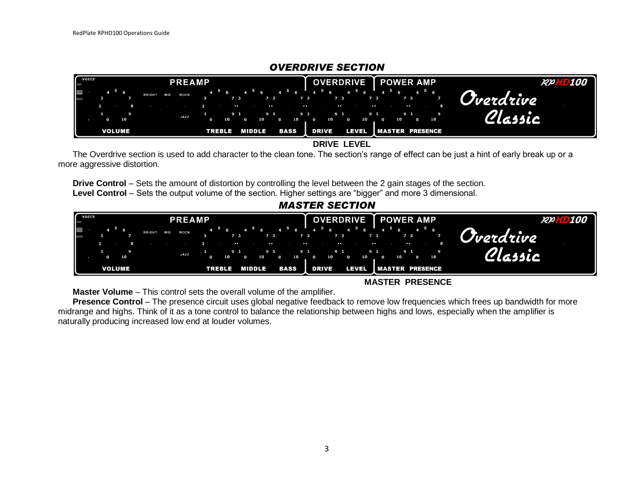| VOICE                                                                                      |              |                                       | <b>PREAMP</b>               |                     |          |                     |               | OVERDRIVE   POWER AMP |                                                                                                                                                                                                                                                                                                                                                                                            |                                         |       |                                              |          |                                      |                                  | <b>RPHD100</b> |                                         |                         |                                       |
|--------------------------------------------------------------------------------------------|--------------|---------------------------------------|-----------------------------|---------------------|----------|---------------------|---------------|-----------------------|--------------------------------------------------------------------------------------------------------------------------------------------------------------------------------------------------------------------------------------------------------------------------------------------------------------------------------------------------------------------------------------------|-----------------------------------------|-------|----------------------------------------------|----------|--------------------------------------|----------------------------------|----------------|-----------------------------------------|-------------------------|---------------------------------------|
| $\begin{bmatrix} \mathbf{F} \mathbf{A}^{\mathsf{T}} \\ \vdots \\ \mathbf{F} \end{bmatrix}$ | $\mathbf{r}$ | 5 <sub>6</sub><br>10<br><b>VOLUME</b> | <b>MID</b><br><b>BRIGHT</b> | <b>ROCK</b><br>JAZZ | $\Omega$ | 7 3<br>10<br>TREBLE | $\sim$<br>9 1 | 10<br>MIDDLE          | $\begin{array}{ccccccccccccccccccccc}\n6 & 4 & 5 & 6 & 4 & 5 & 6 & 4 & 5 & 6 & 4 & 5 & 6 & 4 & 5 & 6 & 4 & 5 & 6 & 4 & 5 & 6 & 4 & 5 & 6 & 4 & 5 & 6 & 4 & 5 & 6 & 4 & 5 & 6 & 4 & 5 & 6 & 4 & 5 & 6 & 4 & 5 & 6 & 4 & 5 & 6 & 4 & 5 & 6 & 4 & 5 & 6 & 4 & 5 & 6 & 4 & 5 & 6 & 6 & 6 & 6 & 6 & 6 & 6 & 6 & 6 & 6 & 6 & 6 & $<br>7 3<br>$\overline{\phantom{a}}$<br>9 1<br>$\Omega$<br>BASS | 7 3<br>$\sim$<br>9 1<br>10 <sub>h</sub> | DRIVE | 7 3<br>$\overline{\phantom{a}}$<br>9 1<br>10 | $\Omega$ | 7 <sub>3</sub><br>9 1<br>10<br>LEVEL | Ė<br>$\sim$ $\sim$ $\sim$ $\sim$ | 10             | 7 3<br>$\bullet$<br>9 1<br>$\mathbf{o}$ | <b>IMASTER PRESENCE</b> | <b>A Divordrive</b><br>$\overline{A}$ |

# *OVERDRIVE SECTION*

 **DRIVE LEVEL**

The Overdrive section is used to add character to the clean tone. The section's range of effect can be just a hint of early break up or a more aggressive distortion.

**Drive Control** – Sets the amount of distortion by controlling the level between the 2 gain stages of the section. **Level Control** – Sets the output volume of the section. Higher settings are "bigger" and more 3 dimensional.

# *MASTER SECTION*



 **MASTER PRESENCE**

**Master Volume** – This control sets the overall volume of the amplifier.

**Presence Control** – The presence circuit uses global negative feedback to remove low frequencies which frees up bandwidth for more midrange and highs. Think of it as a tone control to balance the relationship between highs and lows, especially when the amplifier is naturally producing increased low end at louder volumes.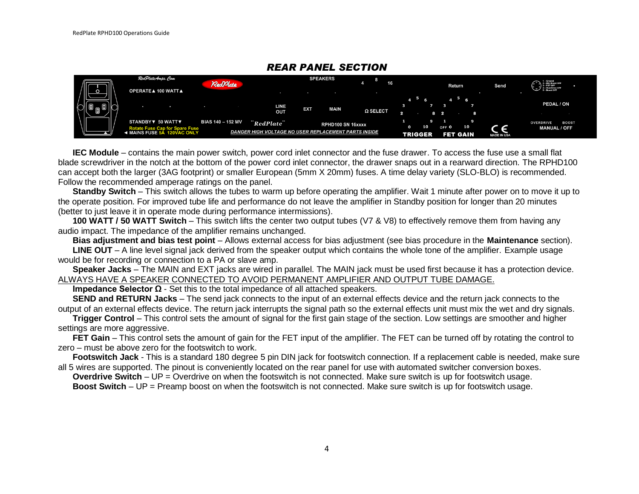|  | RedPlate,Amps. Com                                                                       | RedPlate                 |                                                                         |     | <b>SPEAKERS</b>   | 16              |                |                                           |             | 1 - Ground<br>2 - Mid Boost OFF<br>3 - FET OFF<br>4 - OverDrive OFF<br>5 - Boost OFF<br>ر |
|--|------------------------------------------------------------------------------------------|--------------------------|-------------------------------------------------------------------------|-----|-------------------|-----------------|----------------|-------------------------------------------|-------------|-------------------------------------------------------------------------------------------|
|  | <b>OPERATE▲ 100 WATT▲</b>                                                                |                          |                                                                         |     |                   |                 |                | <b>Return</b>                             | Send        |                                                                                           |
|  |                                                                                          |                          | LINE<br>OUT                                                             | EXT | MAIN              | $\Omega$ SELECT |                | $5\overline{6}$                           |             | PEDAL / ON                                                                                |
|  | STANDBY ▼ 50 WATT ▼<br>Fuse Cap for Spare Fuse<br>FUSE 5A 120VAC ONLY<br>◀ MAINS FUSE 5Å | <b>BIAS 140 - 152 MV</b> | <i>RedPlate</i><br>DANGER HIGH VOLTAGE NO USER REPLACEMENT PARTS INSIDE |     | RPHD100 SN 16xxxx |                 | <b>TRIGGER</b> | 10<br>OFF <sup>0</sup><br><b>FET GAIN</b> | MADE IN USA | <b>OVERDRIVE</b><br><b>BOOST</b><br><b>MANUAL / OFF</b>                                   |

## *REAR PANEL SECTION*

**IEC Module** – contains the main power switch, power cord inlet connector and the fuse drawer. To access the fuse use a small flat blade screwdriver in the notch at the bottom of the power cord inlet connector, the drawer snaps out in a rearward direction. The RPHD100 can accept both the larger (3AG footprint) or smaller European (5mm X 20mm) fuses. A time delay variety (SLO-BLO) is recommended. Follow the recommended amperage ratings on the panel.

**Standby Switch** – This switch allows the tubes to warm up before operating the amplifier. Wait 1 minute after power on to move it up to the operate position. For improved tube life and performance do not leave the amplifier in Standby position for longer than 20 minutes (better to just leave it in operate mode during performance intermissions).

**100 WATT / 50 WATT Switch** – This switch lifts the center two output tubes (V7 & V8) to effectively remove them from having any audio impact. The impedance of the amplifier remains unchanged.

**Bias adjustment and bias test point** – Allows external access for bias adjustment (see bias procedure in the **Maintenance** section).

**LINE OUT** – A line level signal jack derived from the speaker output which contains the whole tone of the amplifier. Example usage would be for recording or connection to a PA or slave amp.

**Speaker Jacks** – The MAIN and EXT jacks are wired in parallel. The MAIN jack must be used first because it has a protection device. ALWAYS HAVE A SPEAKER CONNECTED TO AVOID PERMANENT AMPLIFIER AND OUTPUT TUBE DAMAGE.

**Impedance Selector Ω** - Set this to the total impedance of all attached speakers.

**SEND and RETURN Jacks** – The send jack connects to the input of an external effects device and the return jack connects to the output of an external effects device. The return jack interrupts the signal path so the external effects unit must mix the wet and dry signals.

**Trigger Control** – This control sets the amount of signal for the first gain stage of the section. Low settings are smoother and higher settings are more aggressive.

**FET Gain** – This control sets the amount of gain for the FET input of the amplifier. The FET can be turned off by rotating the control to zero – must be above zero for the footswitch to work.

**Footswitch Jack** - This is a standard 180 degree 5 pin DIN jack for footswitch connection. If a replacement cable is needed, make sure all 5 wires are supported. The pinout is conveniently located on the rear panel for use with automated switcher conversion boxes.

**Overdrive Switch** – UP = Overdrive on when the footswitch is not connected. Make sure switch is up for footswitch usage.

**Boost Switch** – UP = Preamp boost on when the footswitch is not connected. Make sure switch is up for footswitch usage.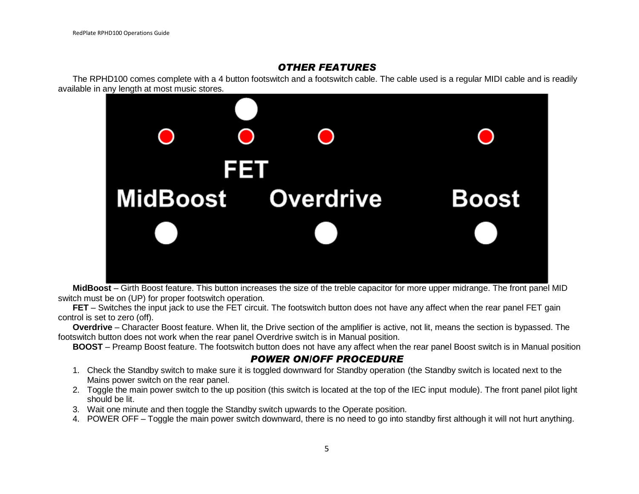## *OTHER FEATURES*

The RPHD100 comes complete with a 4 button footswitch and a footswitch cable. The cable used is a regular MIDI cable and is readily available in any length at most music stores.



**MidBoost** – Girth Boost feature. This button increases the size of the treble capacitor for more upper midrange. The front panel MID switch must be on (UP) for proper footswitch operation.

**FET** – Switches the input jack to use the FET circuit. The footswitch button does not have any affect when the rear panel FET gain control is set to zero (off).

**Overdrive** – Character Boost feature. When lit, the Drive section of the amplifier is active, not lit, means the section is bypassed. The footswitch button does not work when the rear panel Overdrive switch is in Manual position.

**BOOST** – Preamp Boost feature. The footswitch button does not have any affect when the rear panel Boost switch is in Manual position

#### *POWER ON/OFF PROCEDURE*

- 1. Check the Standby switch to make sure it is toggled downward for Standby operation (the Standby switch is located next to the Mains power switch on the rear panel.
- 2. Toggle the main power switch to the up position (this switch is located at the top of the IEC input module). The front panel pilot light should be lit.
- 3. Wait one minute and then toggle the Standby switch upwards to the Operate position.
- 4. POWER OFF Toggle the main power switch downward, there is no need to go into standby first although it will not hurt anything.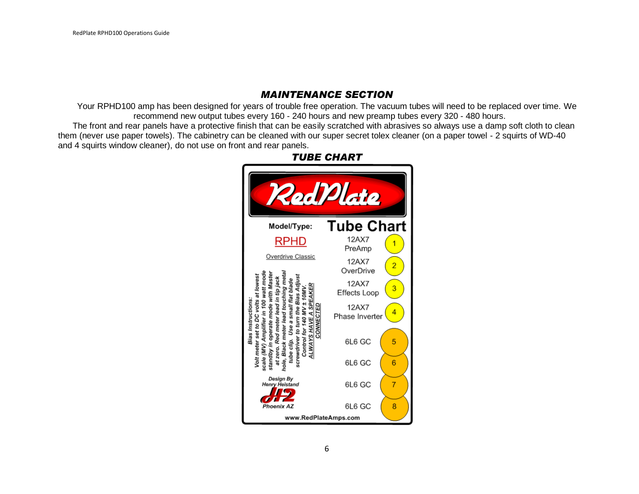# *MAINTENANCE SECTION*

Your RPHD100 amp has been designed for years of trouble free operation. The vacuum tubes will need to be replaced over time. We recommend new output tubes every 160 - 240 hours and new preamp tubes every 320 - 480 hours.

The front and rear panels have a protective finish that can be easily scratched with abrasives so always use a damp soft cloth to clean them (never use paper towels). The cabinetry can be cleaned with our super secret tolex cleaner (on a paper towel - 2 squirts of WD-40 and 4 squirts window cleaner), do not use on front and rear panels.



*TUBE CHART*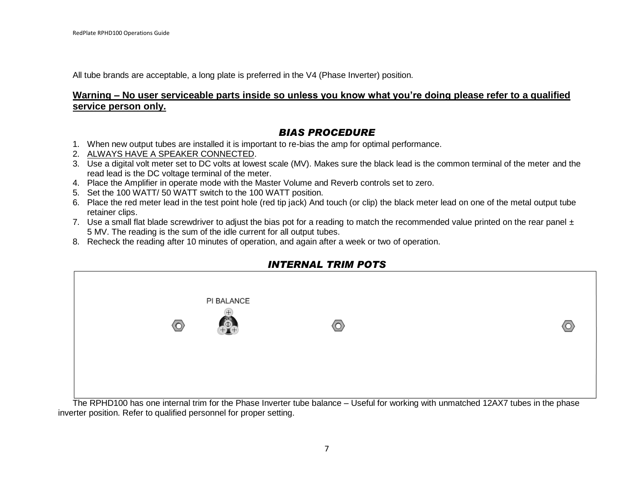All tube brands are acceptable, a long plate is preferred in the V4 (Phase Inverter) position.

#### **Warning – No user serviceable parts inside so unless you know what you're doing please refer to a qualified service person only.**

# *BIAS PROCEDURE*

- 1. When new output tubes are installed it is important to re-bias the amp for optimal performance.
- 2. ALWAYS HAVE A SPEAKER CONNECTED.
- 3. Use a digital volt meter set to DC volts at lowest scale (MV). Makes sure the black lead is the common terminal of the meter and the read lead is the DC voltage terminal of the meter.
- 4. Place the Amplifier in operate mode with the Master Volume and Reverb controls set to zero.
- 5. Set the 100 WATT/ 50 WATT switch to the 100 WATT position.
- 6. Place the red meter lead in the test point hole (red tip jack) And touch (or clip) the black meter lead on one of the metal output tube retainer clips.
- 7. Use a small flat blade screwdriver to adjust the bias pot for a reading to match the recommended value printed on the rear panel  $\pm$ 5 MV. The reading is the sum of the idle current for all output tubes.
- 8. Recheck the reading after 10 minutes of operation, and again after a week or two of operation.



# *INTERNAL TRIM POTS*

The RPHD100 has one internal trim for the Phase Inverter tube balance – Useful for working with unmatched 12AX7 tubes in the phase inverter position. Refer to qualified personnel for proper setting.